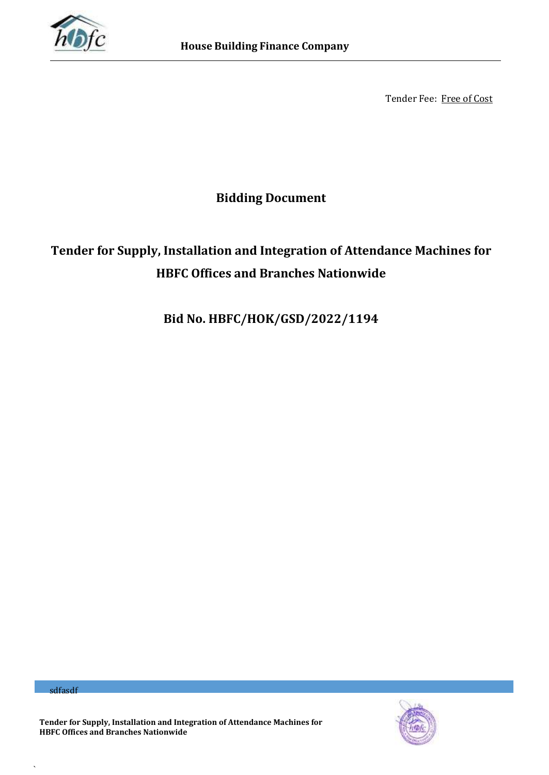

Tender Fee: Free of Cost

**Bidding Document**

# **Tender for Supply, Installation and Integration of Attendance Machines for HBFC Offices and Branches Nationwide**

**Bid No. HBFC/HOK/GSD/2022/1194**

sdfasdf

`



**Tender for Supply, Installation and Integration of Attendance Machines for HBFC Offices and Branches Nationwide**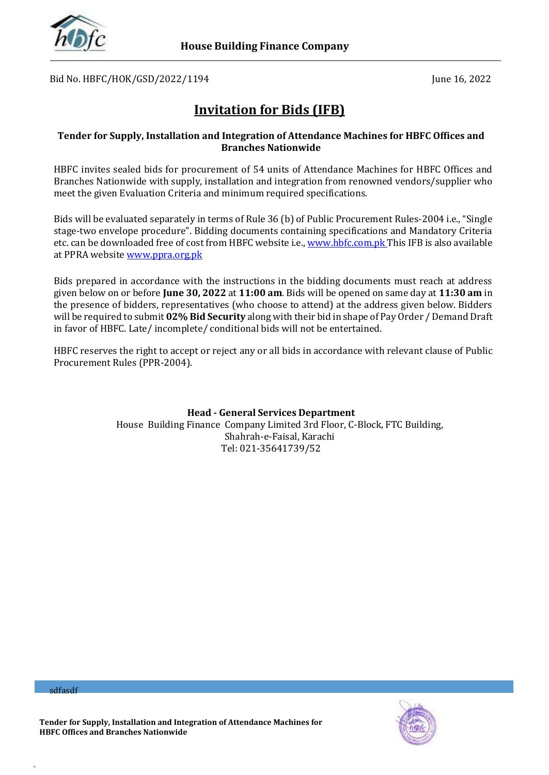

Bid No. HBFC/HOK/GSD/2022/1194 June 16, 2022

# **Invitation for Bids (IFB)**

### **Tender for Supply, Installation and Integration of Attendance Machines for HBFC Offices and Branches Nationwide**

HBFC invites sealed bids for procurement of 54 units of Attendance Machines for HBFC Offices and Branches Nationwide with supply, installation and integration from renowned vendors/supplier who meet the given Evaluation Criteria and minimum required specifications.

Bids will be evaluated separately in terms of Rule 36 (b) of Public Procurement Rules-2004 i.e., "Single stage-two envelope procedure". Bidding documents containing specifications and Mandatory Criteria etc. can be downloaded free of cost from HBFC website i.e.[, www.hbfc.com.pk](http://www.hbfc.com.pk/) This IFB is also available at PPRA website [www.ppra.org.pk](http://www.ppra.org.pk/)

Bids prepared in accordance with the instructions in the bidding documents must reach at address given below on or before **June 30, 2022** at **11:00 am**. Bids will be opened on same day at **11:30 am** in the presence of bidders, representatives (who choose to attend) at the address given below. Bidders will be required to submit **02% Bid Security** along with their bid in shape of Pay Order / Demand Draft in favor of HBFC. Late/ incomplete/ conditional bids will not be entertained.

HBFC reserves the right to accept or reject any or all bids in accordance with relevant clause of Public Procurement Rules (PPR-2004).

> **Head - General Services Department** House Building Finance Company Limited 3rd Floor, C-Block, FTC Building, Shahrah-e-Faisal, Karachi Tel: 021-35641739/52

sdfasdf

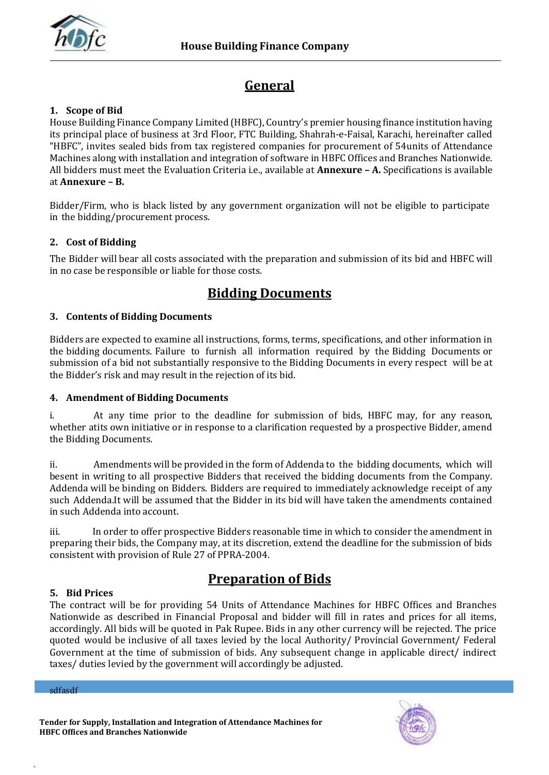

# **General**

### **1. Scope of Bid**

House Building Finance Company Limited (HBFC), Country's premier housing finance institution having its principal place of business at 3rd Floor, FTC Building, Shahrah-e-Faisal, Karachi, hereinafter called "HBFC", invites sealed bids from tax registered companies for procurement of 54units of Attendance Machines along with installation and integration of software in HBFC Offices and Branches Nationwide. All bidders must meet the Evaluation Criteria i.e., available at **Annexure – A.** Specifications is available at **Annexure – B.**

Bidder/Firm, who is black listed by any government organization will not be eligible to participate in the bidding/procurement process.

### **2. Cost of Bidding**

The Bidder will bear all costs associated with the preparation and submission of its bid and HBFC will in no case be responsible or liable for those costs.

### **Bidding Documents**

### **3. Contents of Bidding Documents**

Bidders are expected to examine all instructions, forms, terms, specifications, and other information in the bidding documents. Failure to furnish all information required by the Bidding Documents or submission of a bid not substantially responsive to the Bidding Documents in every respect will be at the Bidder's risk and may result in the rejection of its bid.

### **4. Amendment of Bidding Documents**

i. At any time prior to the deadline for submission of bids, HBFC may, for any reason, whether atits own initiative or in response to a clarification requested by a prospective Bidder, amend the Bidding Documents.

ii. Amendments will be provided in the form of Addenda to the bidding documents, which will besent in writing to all prospective Bidders that received the bidding documents from the Company. Addenda will be binding on Bidders. Bidders are required to immediately acknowledge receipt of any such Addenda.It will be assumed that the Bidder in its bid will have taken the amendments contained in such Addenda into account.

iii. In order to offer prospective Bidders reasonable time in which to consider the amendment in preparing their bids, the Company may, at its discretion, extend the deadline for the submission of bids consistent with provision of Rule 27 of PPRA-2004.

# **Preparation of Bids**

### **5. Bid Prices**

The contract will be for providing 54 Units of Attendance Machines for HBFC Offices and Branches Nationwide as described in Financial Proposal and bidder will fill in rates and prices for all items, accordingly. All bids will be quoted in Pak Rupee. Bids in any other currency will be rejected. The price quoted would be inclusive of all taxes levied by the local Authority/ Provincial Government/ Federal Government at the time of submission of bids. Any subsequent change in applicable direct/ indirect taxes/ duties levied by the government will accordingly be adjusted.

sdfasdf



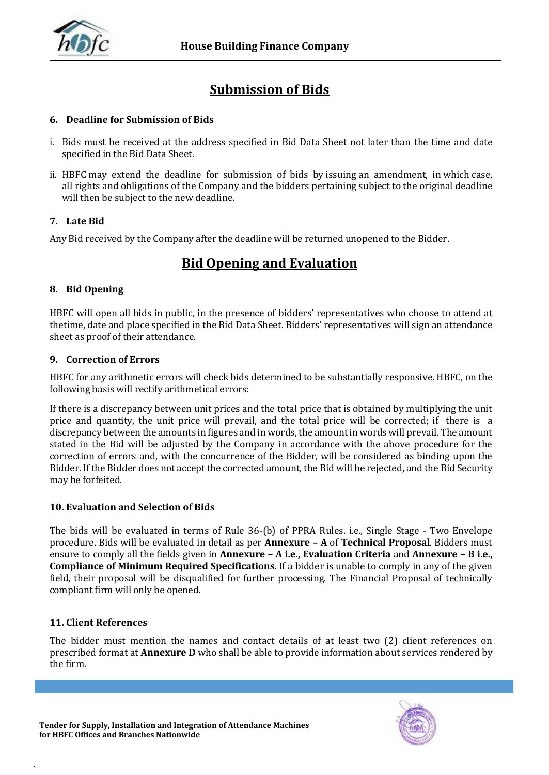

# **Submission of Bids**

### **6. Deadline for Submission of Bids**

- i. Bids must be received at the address specified in Bid Data Sheet not later than the time and date specified in the Bid Data Sheet.
- ii. HBFC may extend the deadline for submission of bids by issuing an amendment, in which case, all rights and obligations of the Company and the bidders pertaining subject to the original deadline will then be subject to the new deadline.

### **7. Late Bid**

Any Bid received by the Company after the deadline will be returned unopened to the Bidder.

# **Bid Opening and Evaluation**

### **8. Bid Opening**

HBFC will open all bids in public, in the presence of bidders' representatives who choose to attend at thetime, date and place specified in the Bid Data Sheet. Bidders' representatives will sign an attendance sheet as proof of their attendance.

### **9. Correction of Errors**

HBFC for any arithmetic errors will check bids determined to be substantially responsive. HBFC, on the following basis will rectify arithmetical errors:

If there is a discrepancy between unit prices and the total price that is obtained by multiplying the unit price and quantity, the unit price will prevail, and the total price will be corrected; if there is a discrepancy between the amounts in figures and in words, the amount in words will prevail. The amount stated in the Bid will be adjusted by the Company in accordance with the above procedure for the correction of errors and, with the concurrence of the Bidder, will be considered as binding upon the Bidder. If the Bidder does not accept the corrected amount, the Bid will be rejected, and the Bid Security may be forfeited.

### **10. Evaluation and Selection of Bids**

The bids will be evaluated in terms of Rule 36-(b) of PPRA Rules. i.e., Single Stage - Two Envelope procedure. Bids will be evaluated in detail as per **Annexure – A** of **Technical Proposal**. Bidders must ensure to comply all the fields given in **Annexure – A i.e., Evaluation Criteria** and **Annexure – B i.e., Compliance of Minimum Required Specifications**. If a bidder is unable to comply in any of the given field, their proposal will be disqualified for further processing. The Financial Proposal of technically compliant firm will only be opened.

### **11. Client References**

`

The bidder must mention the names and contact details of at least two (2) client references on prescribed format at **Annexure D** who shall be able to provide information about services rendered by the firm.

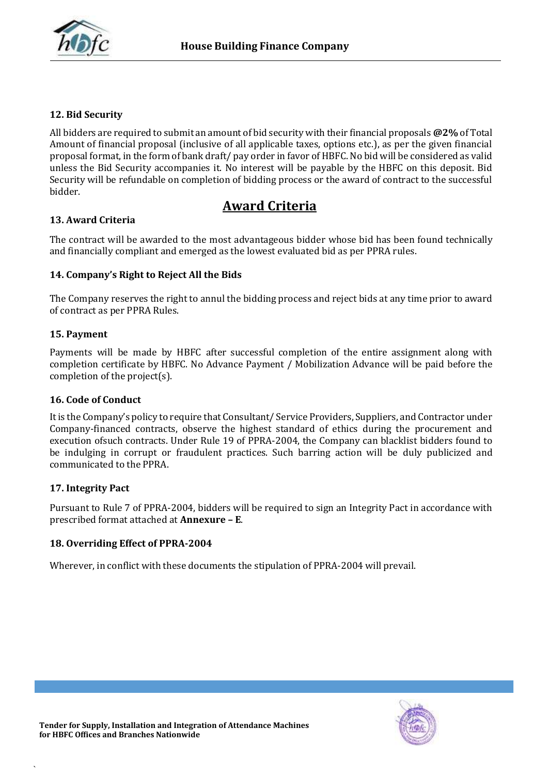

### **12. Bid Security**

All bidders are required to submit an amount of bid security with their financial proposals **@2%** of Total Amount of financial proposal (inclusive of all applicable taxes, options etc.), as per the given financial proposal format, in the form of bank draft/ pay order in favor of HBFC. No bid will be considered as valid unless the Bid Security accompanies it. No interest will be payable by the HBFC on this deposit. Bid Security will be refundable on completion of bidding process or the award of contract to the successful bidder.

### **Award Criteria**

### **13. Award Criteria**

The contract will be awarded to the most advantageous bidder whose bid has been found technically and financially compliant and emerged as the lowest evaluated bid as per PPRA rules.

### **14. Company's Right to Reject All the Bids**

The Company reserves the right to annul the bidding process and reject bids at any time prior to award of contract as per PPRA Rules.

### **15. Payment**

Payments will be made by HBFC after successful completion of the entire assignment along with completion certificate by HBFC. No Advance Payment / Mobilization Advance will be paid before the completion of the project(s).

### **16. Code of Conduct**

It is the Company's policy to require that Consultant/ Service Providers, Suppliers, and Contractor under Company-financed contracts, observe the highest standard of ethics during the procurement and execution ofsuch contracts. Under Rule 19 of PPRA-2004, the Company can blacklist bidders found to be indulging in corrupt or fraudulent practices. Such barring action will be duly publicized and communicated to the PPRA.

### **17. Integrity Pact**

`

Pursuant to Rule 7 of PPRA-2004, bidders will be required to sign an Integrity Pact in accordance with prescribed format attached at **Annexure – E**.

### **18. Overriding Effect of PPRA-2004**

Wherever, in conflict with these documents the stipulation of PPRA-2004 will prevail.

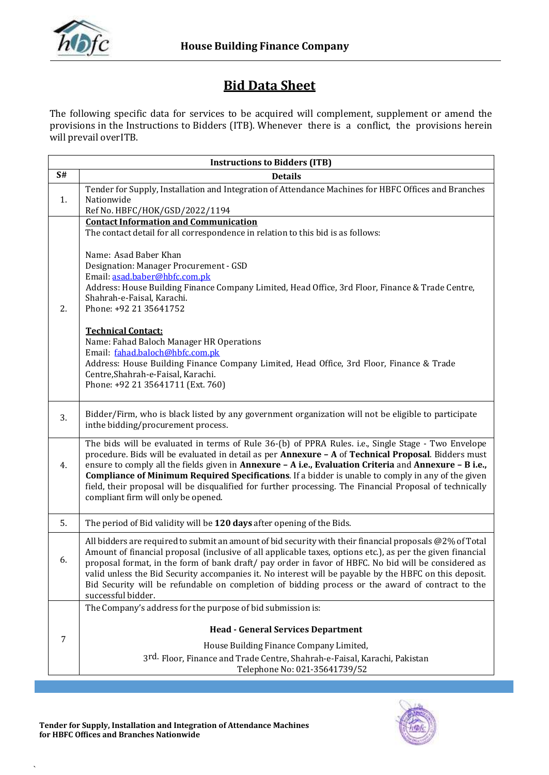

# **Bid Data Sheet**

The following specific data for services to be acquired will complement, supplement or amend the provisions in the Instructions to Bidders (ITB). Whenever there is a conflict, the provisions herein will prevail over ITB.

|    | <b>Instructions to Bidders (ITB)</b>                                                                                                                                                                                                                                                                                                                                                                                                                                                                                                                                                 |
|----|--------------------------------------------------------------------------------------------------------------------------------------------------------------------------------------------------------------------------------------------------------------------------------------------------------------------------------------------------------------------------------------------------------------------------------------------------------------------------------------------------------------------------------------------------------------------------------------|
| S# | <b>Details</b>                                                                                                                                                                                                                                                                                                                                                                                                                                                                                                                                                                       |
| 1. | Tender for Supply, Installation and Integration of Attendance Machines for HBFC Offices and Branches<br>Nationwide<br>Ref No. HBFC/HOK/GSD/2022/1194                                                                                                                                                                                                                                                                                                                                                                                                                                 |
|    | <b>Contact Information and Communication</b><br>The contact detail for all correspondence in relation to this bid is as follows:                                                                                                                                                                                                                                                                                                                                                                                                                                                     |
| 2. | Name: Asad Baber Khan<br>Designation: Manager Procurement - GSD<br>Email: asad.baber@hbfc.com.pk<br>Address: House Building Finance Company Limited, Head Office, 3rd Floor, Finance & Trade Centre,<br>Shahrah-e-Faisal, Karachi.<br>Phone: +92 21 35641752                                                                                                                                                                                                                                                                                                                         |
|    | <b>Technical Contact:</b><br>Name: Fahad Baloch Manager HR Operations<br>Email: fahad.baloch@hbfc.com.pk<br>Address: House Building Finance Company Limited, Head Office, 3rd Floor, Finance & Trade<br>Centre, Shahrah-e-Faisal, Karachi.<br>Phone: +92 21 35641711 (Ext. 760)                                                                                                                                                                                                                                                                                                      |
| 3. | Bidder/Firm, who is black listed by any government organization will not be eligible to participate<br>inthe bidding/procurement process.                                                                                                                                                                                                                                                                                                                                                                                                                                            |
| 4. | The bids will be evaluated in terms of Rule 36-(b) of PPRA Rules. i.e., Single Stage - Two Envelope<br>procedure. Bids will be evaluated in detail as per Annexure - A of Technical Proposal. Bidders must<br>ensure to comply all the fields given in Annexure - A i.e., Evaluation Criteria and Annexure - B i.e.,<br><b>Compliance of Minimum Required Specifications.</b> If a bidder is unable to comply in any of the given<br>field, their proposal will be disqualified for further processing. The Financial Proposal of technically<br>compliant firm will only be opened. |
| 5. | The period of Bid validity will be 120 days after opening of the Bids.                                                                                                                                                                                                                                                                                                                                                                                                                                                                                                               |
| 6. | All bidders are required to submit an amount of bid security with their financial proposals @2% of Total<br>Amount of financial proposal (inclusive of all applicable taxes, options etc.), as per the given financial<br>proposal format, in the form of bank draft/ pay order in favor of HBFC. No bid will be considered as<br>valid unless the Bid Security accompanies it. No interest will be payable by the HBFC on this deposit.<br>Bid Security will be refundable on completion of bidding process or the award of contract to the<br>successful bidder.                   |
|    | The Company's address for the purpose of bid submission is:                                                                                                                                                                                                                                                                                                                                                                                                                                                                                                                          |
| 7  | <b>Head - General Services Department</b>                                                                                                                                                                                                                                                                                                                                                                                                                                                                                                                                            |
|    | House Building Finance Company Limited,<br>3rd. Floor, Finance and Trade Centre, Shahrah-e-Faisal, Karachi, Pakistan                                                                                                                                                                                                                                                                                                                                                                                                                                                                 |
|    | Telephone No: 021-35641739/52                                                                                                                                                                                                                                                                                                                                                                                                                                                                                                                                                        |

 $\overline{\phantom{a}}$ 

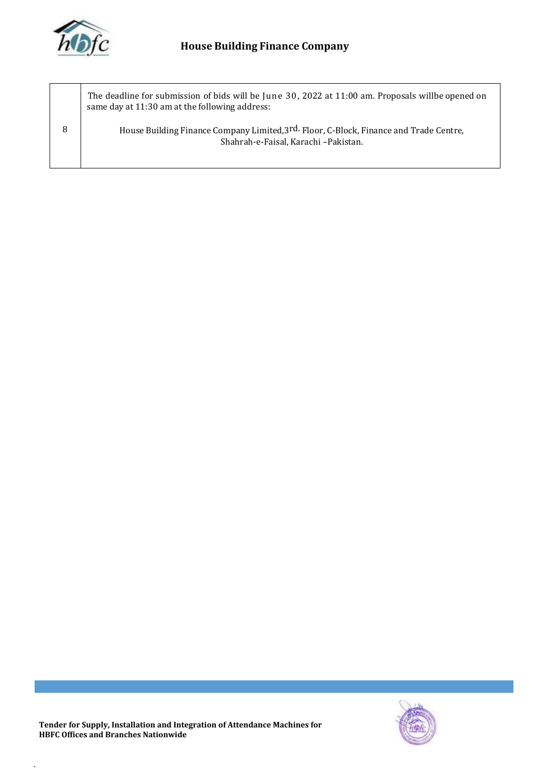

8 The deadline for submission of bids will be June 30, 2022 at 11:00 am. Proposals willbe opened on same day at 11:30 am at the following address: House Building Finance Company Limited,3<sup>rd.</sup> Floor, C-Block, Finance and Trade Centre, Shahrah-e-Faisal, Karachi –Pakistan.



 $\overline{\phantom{a}}$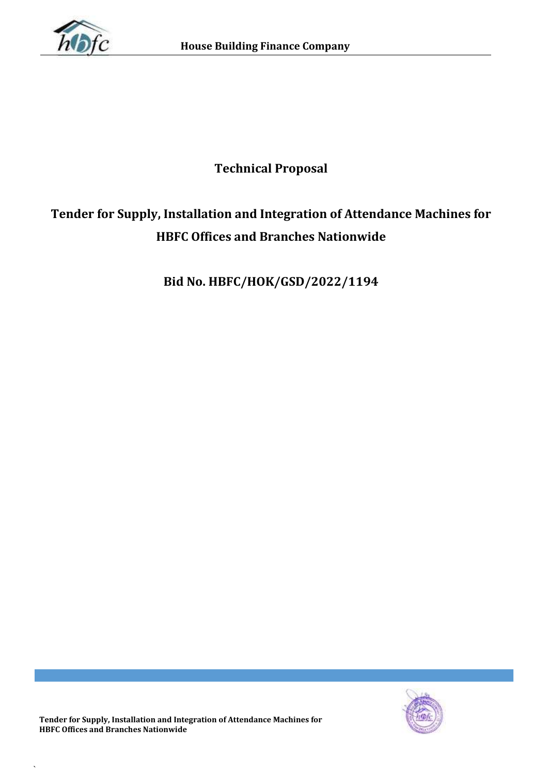

# **Technical Proposal**

# **Tender for Supply, Installation and Integration of Attendance Machines for HBFC Offices and Branches Nationwide**

**Bid No. HBFC/HOK/GSD/2022/1194**

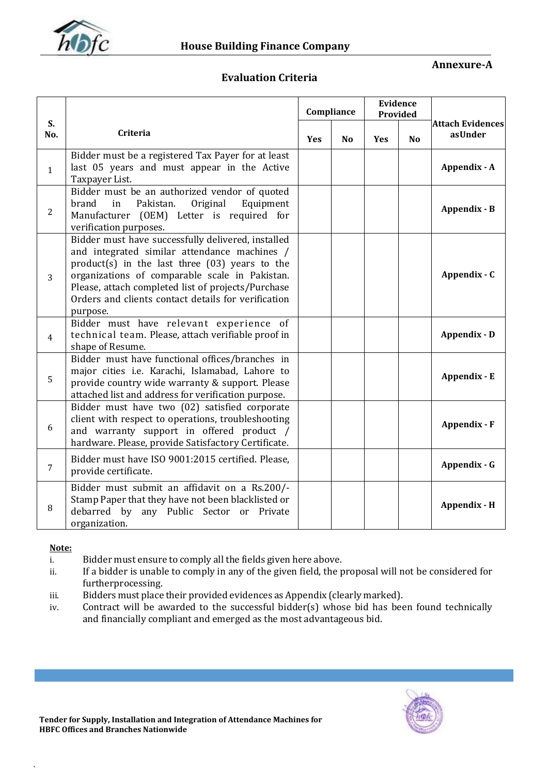

### **Annexure-A**

### **Evaluation Criteria**

| muntaurt m |  |
|------------|--|
|            |  |
|            |  |
|            |  |
|            |  |

|                |                                                                                                                                                                                                                                                                                                                                     |     | Compliance |     | <b>Evidence</b><br>Provided |                                    |
|----------------|-------------------------------------------------------------------------------------------------------------------------------------------------------------------------------------------------------------------------------------------------------------------------------------------------------------------------------------|-----|------------|-----|-----------------------------|------------------------------------|
| S.<br>No.      | Criteria                                                                                                                                                                                                                                                                                                                            | Yes | <b>No</b>  | Yes | <b>No</b>                   | <b>Attach Evidences</b><br>asUnder |
| $\mathbf{1}$   | Bidder must be a registered Tax Payer for at least<br>last 05 years and must appear in the Active<br>Taxpayer List.                                                                                                                                                                                                                 |     |            |     |                             | Appendix - A                       |
| $\overline{2}$ | Bidder must be an authorized vendor of quoted<br>Pakistan.<br>Original<br>brand<br>Equipment<br>in<br>Manufacturer (OEM) Letter is required for<br>verification purposes.                                                                                                                                                           |     |            |     |                             | Appendix - B                       |
| 3              | Bidder must have successfully delivered, installed<br>and integrated similar attendance machines /<br>$product(s)$ in the last three $(03)$ years to the<br>organizations of comparable scale in Pakistan.<br>Please, attach completed list of projects/Purchase<br>Orders and clients contact details for verification<br>purpose. |     |            |     |                             | Appendix - C                       |
| $\overline{4}$ | Bidder must have relevant experience of<br>technical team. Please, attach verifiable proof in<br>shape of Resume.                                                                                                                                                                                                                   |     |            |     |                             | Appendix - D                       |
| 5              | Bidder must have functional offices/branches in<br>major cities i.e. Karachi, Islamabad, Lahore to<br>provide country wide warranty & support. Please<br>attached list and address for verification purpose.                                                                                                                        |     |            |     |                             | Appendix - E                       |
| 6              | Bidder must have two (02) satisfied corporate<br>client with respect to operations, troubleshooting<br>and warranty support in offered product /<br>hardware. Please, provide Satisfactory Certificate.                                                                                                                             |     |            |     |                             | Appendix - F                       |
| $\overline{7}$ | Bidder must have ISO 9001:2015 certified. Please,<br>provide certificate.                                                                                                                                                                                                                                                           |     |            |     |                             | Appendix - G                       |
| 8              | Bidder must submit an affidavit on a Rs.200/-<br>Stamp Paper that they have not been blacklisted or<br>debarred by<br>any Public Sector or Private<br>organization.                                                                                                                                                                 |     |            |     |                             | Appendix - H                       |

### **Note:**

- i. Bidder must ensure to comply all the fields given here above.
- ii. If a bidder is unable to comply in any of the given field, the proposal will not be considered for furtherprocessing.
- iii. Bidders must place their provided evidences as Appendix (clearly marked).
- iv. Contract will be awarded to the successful bidder(s) whose bid has been found technically and financially compliant and emerged as the most advantageous bid.

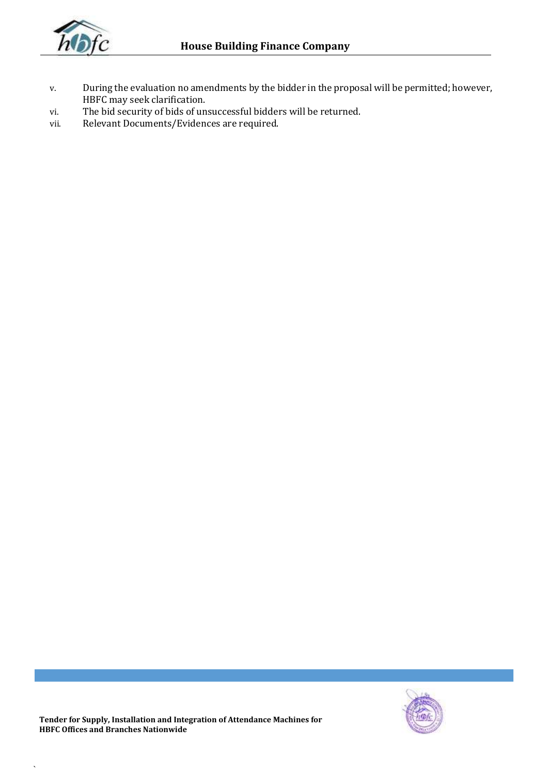

- v. During the evaluation no amendments by the bidder in the proposal will be permitted; however, HBFC may seek clarification.
- vi. The bid security of bids of unsuccessful bidders will be returned.
- vii. Relevant Documents/Evidences are required.

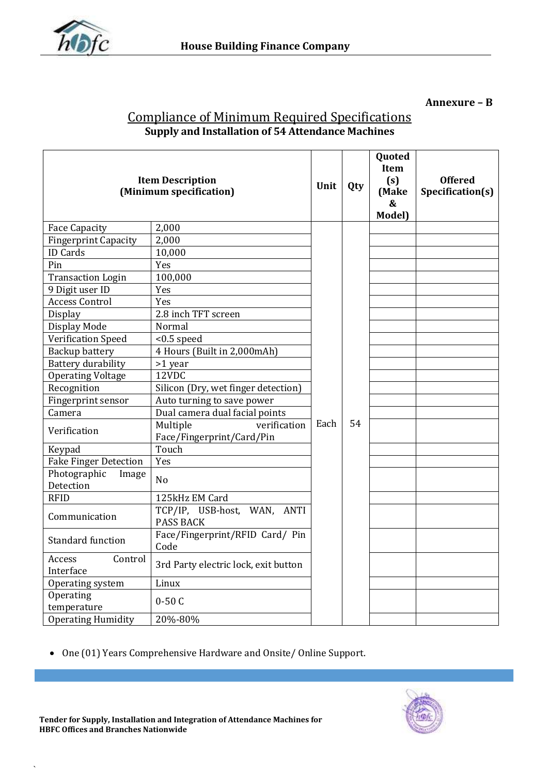

**Annexure – B**

| <u><b>Compliance of Minimum Required Specifications</b></u> |  |
|-------------------------------------------------------------|--|
| <b>Supply and Installation of 54 Attendance Machines</b>    |  |

| <b>Item Description</b><br>(Minimum specification) | Unit                                                  | Qty | Quoted<br>Item<br>(s)<br>(Make<br>$\boldsymbol{\&}$<br>Model) | <b>Offered</b><br>Specification(s) |  |
|----------------------------------------------------|-------------------------------------------------------|-----|---------------------------------------------------------------|------------------------------------|--|
| <b>Face Capacity</b>                               | 2,000                                                 |     |                                                               |                                    |  |
| <b>Fingerprint Capacity</b>                        | 2,000                                                 |     |                                                               |                                    |  |
| <b>ID</b> Cards                                    | 10,000                                                |     |                                                               |                                    |  |
| Pin                                                | Yes                                                   |     |                                                               |                                    |  |
| <b>Transaction Login</b>                           | 100,000                                               |     |                                                               |                                    |  |
| 9 Digit user ID                                    | Yes                                                   |     |                                                               |                                    |  |
| <b>Access Control</b>                              | Yes                                                   |     |                                                               |                                    |  |
| Display                                            | 2.8 inch TFT screen                                   |     |                                                               |                                    |  |
| Display Mode                                       | Normal                                                |     |                                                               |                                    |  |
| Verification Speed                                 | $< 0.5$ speed                                         |     |                                                               |                                    |  |
| <b>Backup battery</b>                              | 4 Hours (Built in 2,000mAh)                           |     |                                                               |                                    |  |
| <b>Battery durability</b>                          | >1 year                                               |     |                                                               |                                    |  |
| <b>Operating Voltage</b>                           | 12VDC                                                 |     |                                                               |                                    |  |
| Recognition                                        | Silicon (Dry, wet finger detection)                   |     |                                                               |                                    |  |
| Fingerprint sensor                                 | Auto turning to save power                            |     |                                                               |                                    |  |
| Camera                                             | Dual camera dual facial points                        |     |                                                               |                                    |  |
| Verification                                       | Multiple<br>verification<br>Face/Fingerprint/Card/Pin |     | 54                                                            |                                    |  |
| Keypad                                             | Touch                                                 |     |                                                               |                                    |  |
| <b>Fake Finger Detection</b>                       | Yes                                                   |     |                                                               |                                    |  |
| Photographic<br>Image<br>Detection                 | N <sub>o</sub>                                        |     |                                                               |                                    |  |
| <b>RFID</b>                                        | 125kHz EM Card                                        |     |                                                               |                                    |  |
| Communication                                      | TCP/IP, USB-host, WAN, ANTI<br><b>PASS BACK</b>       |     |                                                               |                                    |  |
| <b>Standard function</b>                           | Face/Fingerprint/RFID Card/ Pin<br>Code               |     |                                                               |                                    |  |
| Access<br>Control<br>Interface                     | 3rd Party electric lock, exit button                  |     |                                                               |                                    |  |
| Operating system                                   | Linux                                                 |     |                                                               |                                    |  |
| Operating<br>temperature                           | $0-50C$                                               |     |                                                               |                                    |  |
| <b>Operating Humidity</b>                          | 20%-80%                                               |     |                                                               |                                    |  |

One (01) Years Comprehensive Hardware and Onsite/ Online Support.



 $\overline{\phantom{a}}$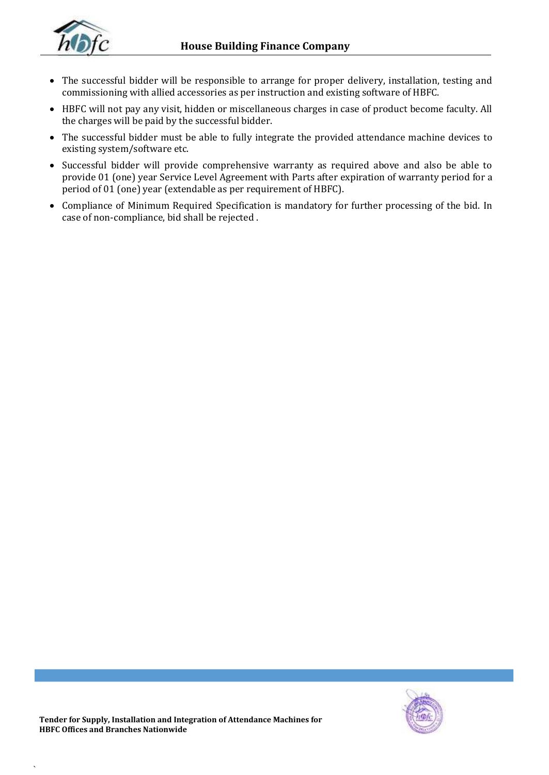

- The successful bidder will be responsible to arrange for proper delivery, installation, testing and commissioning with allied accessories as per instruction and existing software of HBFC.
- HBFC will not pay any visit, hidden or miscellaneous charges in case of product become faculty. All the charges will be paid by the successful bidder.
- The successful bidder must be able to fully integrate the provided attendance machine devices to existing system/software etc.
- Successful bidder will provide comprehensive warranty as required above and also be able to provide 01 (one) year Service Level Agreement with Parts after expiration of warranty period for a period of 01 (one) year (extendable as per requirement of HBFC).
- Compliance of Minimum Required Specification is mandatory for further processing of the bid. In case of non-compliance, bid shall be rejected .

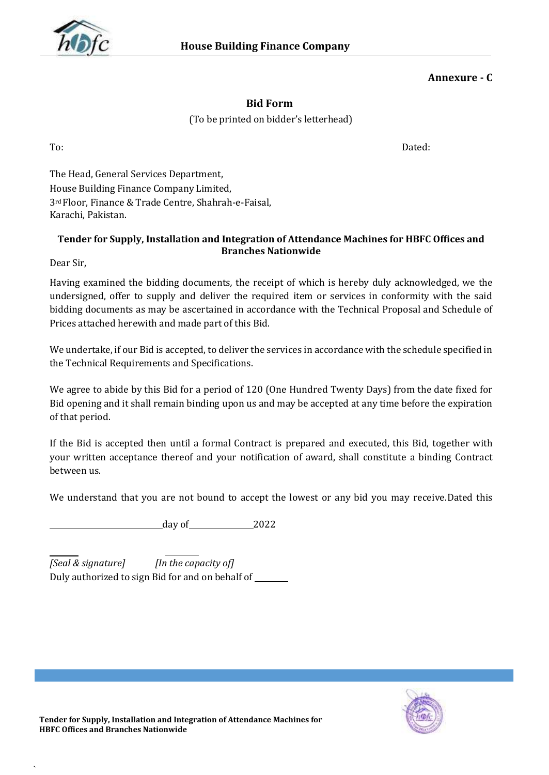

### **Annexure - C**

### **Bid Form**

(To be printed on bidder's letterhead)

To: Dated:

The Head, General Services Department, House Building Finance Company Limited, 3rd Floor, Finance & Trade Centre, Shahrah-e-Faisal, Karachi, Pakistan.

### **Tender for Supply, Installation and Integration of Attendance Machines for HBFC Offices and Branches Nationwide**

Dear Sir,

`

Having examined the bidding documents*,* the receipt of which is hereby duly acknowledged, we the undersigned, offer to supply and deliver the required item or services in conformity with the said bidding documents as may be ascertained in accordance with the Technical Proposal and Schedule of Prices attached herewith and made part of this Bid.

We undertake, if our Bid is accepted, to deliver the services in accordance with the schedule specified in the Technical Requirements and Specifications.

We agree to abide by this Bid for a period of 120 (One Hundred Twenty Days) from the date fixed for Bid opening and it shall remain binding upon us and may be accepted at any time before the expiration of that period.

If the Bid is accepted then until a formal Contract is prepared and executed, this Bid, together with your written acceptance thereof and your notification of award, shall constitute a binding Contract between us.

We understand that you are not bound to accept the lowest or any bid you may receive.Dated this

day of 2022

*[Seal & signature] [In the capacity of]* Duly authorized to sign Bid for and on behalf of

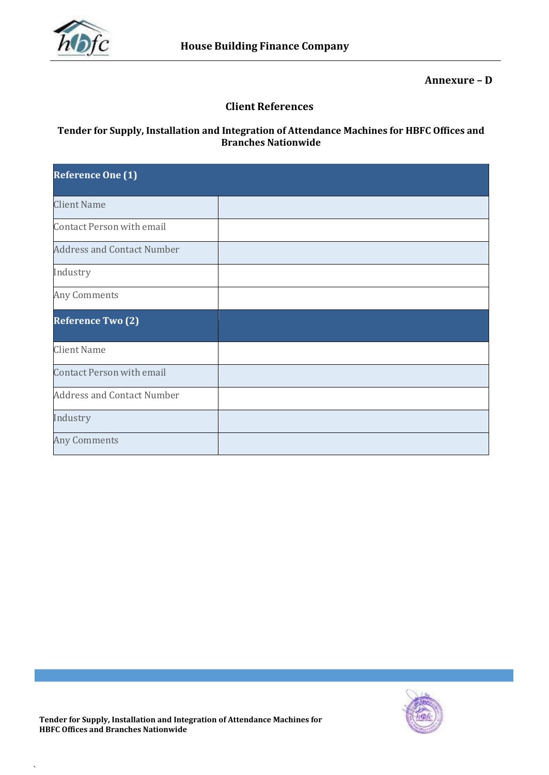

**Annexure – D**

### **Client References**

### **Tender for Supply, Installation and Integration of Attendance Machines for HBFC Offices and Branches Nationwide**

| <b>Reference One (1)</b>          |  |
|-----------------------------------|--|
| <b>Client Name</b>                |  |
| <b>Contact Person with email</b>  |  |
| <b>Address and Contact Number</b> |  |
| Industry                          |  |
| Any Comments                      |  |
| <b>Reference Two (2)</b>          |  |
| <b>Client Name</b>                |  |
| <b>Contact Person with email</b>  |  |
| <b>Address and Contact Number</b> |  |
| Industry                          |  |
| <b>Any Comments</b>               |  |

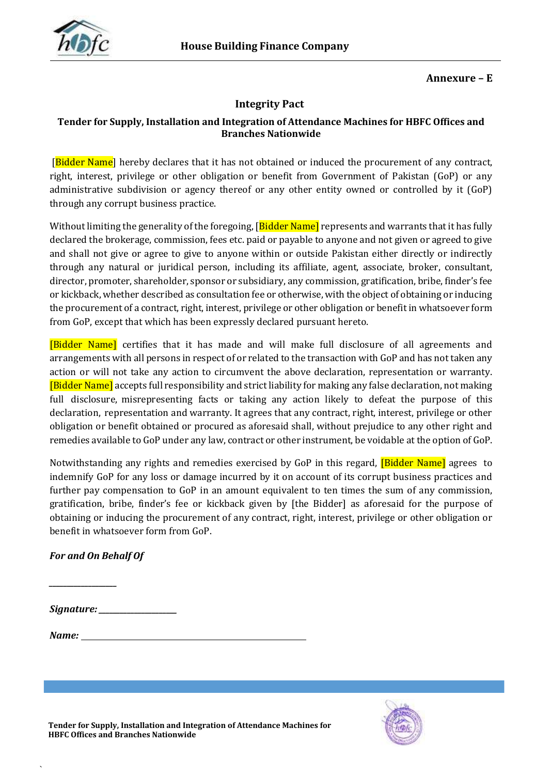

### **Annexure – E**

### **Integrity Pact**

### **Tender for Supply, Installation and Integration of Attendance Machines for HBFC Offices and Branches Nationwide**

[Bidder Name] hereby declares that it has not obtained or induced the procurement of any contract, right, interest, privilege or other obligation or benefit from Government of Pakistan (GoP) or any administrative subdivision or agency thereof or any other entity owned or controlled by it (GoP) through any corrupt business practice.

Without limiting the generality of the foregoing, [Bidder Name] represents and warrants that it has fully declared the brokerage, commission, fees etc. paid or payable to anyone and not given or agreed to give and shall not give or agree to give to anyone within or outside Pakistan either directly or indirectly through any natural or juridical person, including its affiliate, agent, associate, broker, consultant, director, promoter, shareholder, sponsor or subsidiary, any commission, gratification, bribe, finder's fee or kickback, whether described as consultation fee or otherwise, with the object of obtaining or inducing the procurement of a contract, right, interest, privilege or other obligation or benefit in whatsoever form from GoP, except that which has been expressly declared pursuant hereto.

[Bidder Name] certifies that it has made and will make full disclosure of all agreements and arrangements with all persons in respect of or related to the transaction with GoP and has not taken any action or will not take any action to circumvent the above declaration, representation or warranty. [Bidder Name] accepts full responsibility and strict liability for making any false declaration, not making full disclosure, misrepresenting facts or taking any action likely to defeat the purpose of this declaration, representation and warranty. It agrees that any contract, right, interest, privilege or other obligation or benefit obtained or procured as aforesaid shall, without prejudice to any other right and remedies available to GoP under any law, contract or other instrument, be voidable at the option of GoP.

Notwithstanding any rights and remedies exercised by GoP in this regard, **[Bidder Name]** agrees to indemnify GoP for any loss or damage incurred by it on account of its corrupt business practices and further pay compensation to GoP in an amount equivalent to ten times the sum of any commission, gratification, bribe, finder's fee or kickback given by [the Bidder] as aforesaid for the purpose of obtaining or inducing the procurement of any contract, right, interest, privilege or other obligation or benefit in whatsoever form from GoP.

### *For and On Behalf Of*

*\_\_\_\_\_\_\_\_\_\_\_\_\_\_\_\_\_\_\_*

*Signature: \_\_\_\_\_\_\_\_\_\_\_\_\_\_\_\_\_\_\_\_\_\_*

`

*Name:*

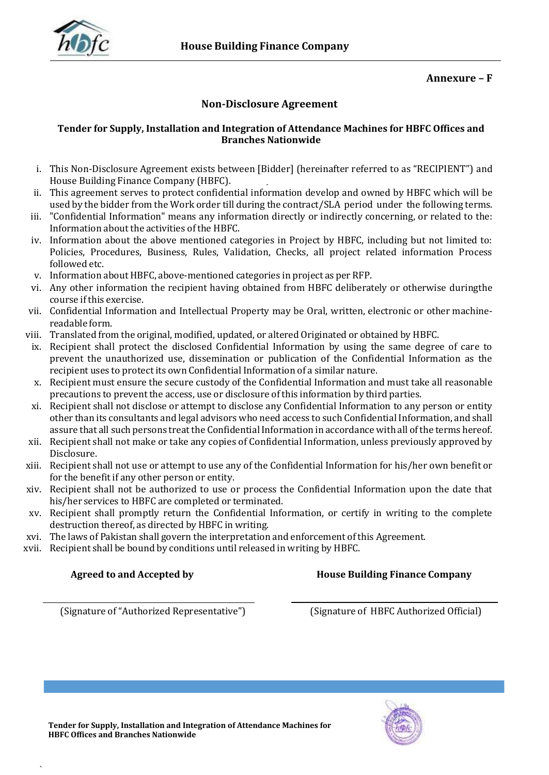

### **Annexure – F**

### **Non-Disclosure Agreement**

### **Tender for Supply, Installation and Integration of Attendance Machines for HBFC Offices and Branches Nationwide**

- i. This Non-Disclosure Agreement exists between [Bidder] (hereinafter referred to as "RECIPIENT") and House Building Finance Company (HBFC).
- ii. This agreement serves to protect confidential information develop and owned by HBFC which will be used by the bidder from the Work order till during the contract/SLA period under the following terms.
- iii. "Confidential Information" means any information directly or indirectly concerning, or related to the: Information about the activities of the HBFC.
- iv. Information about the above mentioned categories in Project by HBFC, including but not limited to: Policies, Procedures, Business, Rules, Validation, Checks, all project related information Process followed etc.
- v. Information about HBFC, above-mentioned categories in project as per RFP.
- vi. Any other information the recipient having obtained from HBFC deliberately or otherwise duringthe course if this exercise.
- vii. Confidential Information and Intellectual Property may be Oral, written, electronic or other machinereadable form.
- viii. Translated from the original, modified, updated, or altered Originated or obtained by HBFC.
	- ix. Recipient shall protect the disclosed Confidential Information by using the same degree of care to prevent the unauthorized use, dissemination or publication of the Confidential Information as the recipient uses to protect its own Confidential Information of a similar nature.
	- x. Recipient must ensure the secure custody of the Confidential Information and must take all reasonable precautions to prevent the access, use or disclosure of this information by third parties.
- xi. Recipient shall not disclose or attempt to disclose any Confidential Information to any person or entity other than its consultants and legal advisors who need access to such Confidential Information, and shall assure that all such persons treat the Confidential Information in accordance with all ofthe terms hereof.
- xii. Recipient shall not make or take any copies of Confidential Information, unless previously approved by Disclosure.
- xiii. Recipient shall not use or attempt to use any of the Confidential Information for his/her own benefit or for the benefit if any other person or entity.
- xiv. Recipient shall not be authorized to use or process the Confidential Information upon the date that his/her services to HBFC are completed or terminated.
- xv. Recipient shall promptly return the Confidential Information, or certify in writing to the complete destruction thereof, as directed by HBFC in writing.
- xvi. The laws of Pakistan shall govern the interpretation and enforcement of this Agreement.
- xvii. Recipient shall be bound by conditions until released in writing by HBFC.

`

**Agreed to and Accepted by House Building Finance Company**

(Signature of "Authorized Representative") (Signature of HBFC Authorized Official)

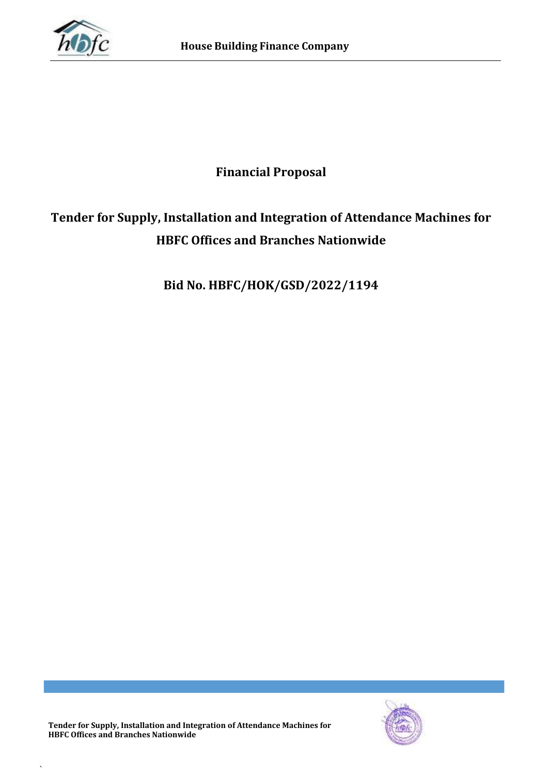

# **Financial Proposal**

# **Tender for Supply, Installation and Integration of Attendance Machines for HBFC Offices and Branches Nationwide**

**Bid No. HBFC/HOK/GSD/2022/1194**

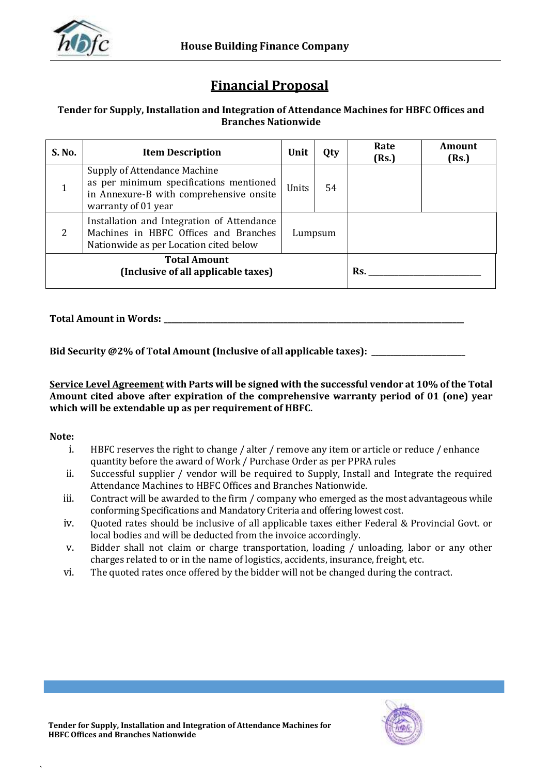

# **Financial Proposal**

### **Tender for Supply, Installation and Integration of Attendance Machines for HBFC Offices and Branches Nationwide**

| S. No. | <b>Item Description</b>                                                                                                                   | Unit  | Qty     | Rate<br>(Rs.) | Amount<br>(Rs.) |
|--------|-------------------------------------------------------------------------------------------------------------------------------------------|-------|---------|---------------|-----------------|
|        | Supply of Attendance Machine<br>as per minimum specifications mentioned<br>in Annexure-B with comprehensive onsite<br>warranty of 01 year | Units | 54      |               |                 |
| 2      | Installation and Integration of Attendance<br>Machines in HBFC Offices and Branches<br>Nationwide as per Location cited below             |       | Lumpsum |               |                 |
|        | <b>Total Amount</b><br>(Inclusive of all applicable taxes)                                                                                |       |         | Rs.           |                 |

**Total Amount in Words: \_\_\_\_\_\_\_\_\_\_\_\_\_\_\_\_\_\_\_\_\_\_\_\_\_\_\_\_\_\_\_\_\_\_\_\_\_\_\_\_\_\_\_\_\_\_\_\_\_\_\_\_\_\_\_\_\_\_\_\_\_\_\_\_\_\_\_\_\_\_\_\_\_\_\_\_\_\_\_\_**

**Bid Security @2% of Total Amount (Inclusive of all applicable taxes): \_\_\_\_\_\_\_\_\_\_\_\_\_\_\_\_\_\_\_\_\_\_\_\_\_**

**Service Level Agreement with Parts will be signed with the successful vendor at 10% of the Total Amount cited above after expiration of the comprehensive warranty period of 01 (one) year which will be extendable up as per requirement of HBFC.**

### **Note:**

- i. HBFC reserves the right to change / alter / remove any item or article or reduce / enhance quantity before the award of Work / Purchase Order as per PPRA rules
- ii. Successful supplier / vendor will be required to Supply, Install and Integrate the required Attendance Machines to HBFC Offices and Branches Nationwide.
- iii. Contract will be awarded to the firm / company who emerged as the most advantageous while conforming Specifications and Mandatory Criteria and offering lowest cost.
- iv. Quoted rates should be inclusive of all applicable taxes either Federal & Provincial Govt. or local bodies and will be deducted from the invoice accordingly.
- v. Bidder shall not claim or charge transportation, loading / unloading, labor or any other charges related to or in the name of logistics, accidents, insurance, freight, etc.
- vi. The quoted rates once offered by the bidder will not be changed during the contract.

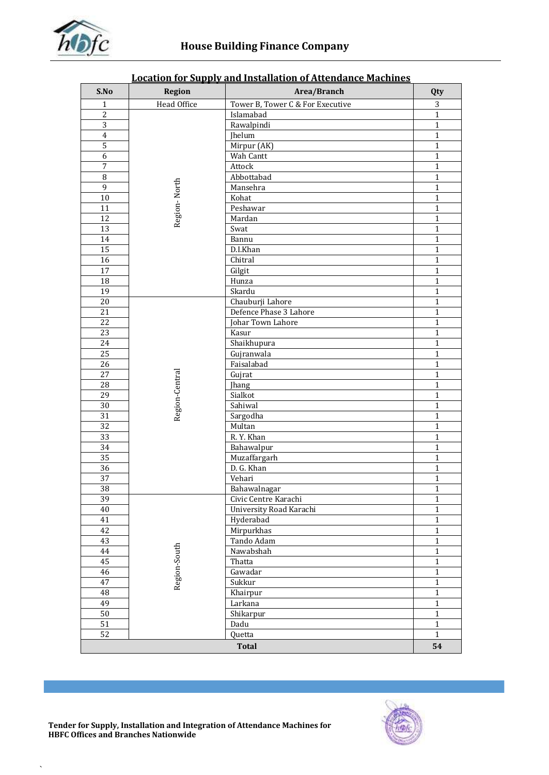

| S.No            | <b>Region</b>  | Area/Branch                      | Qty                          |
|-----------------|----------------|----------------------------------|------------------------------|
| 1               | Head Office    | Tower B, Tower C & For Executive | 3                            |
| $\overline{c}$  |                | Islamabad                        | $\mathbf{1}$                 |
| 3               |                | Rawalpindi                       | $\mathbf{1}$                 |
| $\overline{4}$  |                | <b>Jhelum</b>                    | $\mathbf{1}$                 |
| $\mathsf S$     |                | Mirpur (AK)                      | $\mathbf{1}$                 |
| 6               |                | Wah Cantt                        | $\mathbf{1}$                 |
| $\sqrt{ }$      |                | Attock                           | $\mathbf{1}$                 |
| $\overline{8}$  |                | Abbottabad                       | $\mathbf{1}$                 |
| $\overline{9}$  | Region-North   | Mansehra                         | $\mathbf{1}$                 |
| $10\,$          |                | Kohat                            | $\mathbf{1}$                 |
| 11              |                | Peshawar                         | $\mathbf{1}$                 |
| 12              |                | Mardan                           | $\mathbf{1}$                 |
| 13              |                | Swat                             | $\mathbf{1}$                 |
| 14              |                | Bannu                            | $\mathbf{1}$                 |
| 15              |                | D.I.Khan                         | $\mathbf{1}$                 |
| 16              |                | Chitral                          | 1                            |
| 17              |                | Gilgit                           | $\mathbf{1}$                 |
| 18              |                | Hunza                            | $\mathbf{1}$                 |
| 19              |                | Skardu                           | $\mathbf{1}$                 |
| 20              |                | Chauburji Lahore                 | $\mathbf{1}$                 |
| 21              |                | Defence Phase 3 Lahore           | $\mathbf{1}$                 |
| 22              |                | Johar Town Lahore                | $\mathbf{1}$                 |
| 23              |                | Kasur                            | $\mathbf{1}$                 |
| 24              |                | Shaikhupura                      | 1                            |
| 25              |                | Gujranwala                       | 1                            |
| 26              |                | Faisalabad                       | $\mathbf{1}$                 |
| 27              |                | Gujrat                           | $\mathbf{1}$                 |
| 28              |                | Jhang                            | $\mathbf{1}$<br>$\mathbf{1}$ |
| 29<br>30        | Region-Central | Sialkot<br>Sahiwal               | $\mathbf{1}$                 |
| 31              |                | Sargodha                         | $\mathbf{1}$                 |
| 32              |                | Multan                           | $\mathbf{1}$                 |
| $\overline{33}$ |                | R.Y. Khan                        | $\mathbf{1}$                 |
| $\overline{34}$ |                | Bahawalpur                       | 1                            |
| $\overline{35}$ |                | Muzaffargarh                     | $\mathbf{1}$                 |
| $\overline{36}$ |                | D. G. Khan                       | $\mathbf{1}$                 |
| 37              |                | Vehari                           | $\mathbf{1}$                 |
| 38              |                | Bahawalnagar                     | $\mathbf{1}$                 |
| 39              |                | Civic Centre Karachi             | $\mathbf{1}$                 |
| 40              |                | University Road Karachi          | $\mathbf{1}$                 |
| 41              |                | Hyderabad                        | $\mathbf{1}$                 |
| 42              |                | Mirpurkhas                       | 1                            |
| 43              |                | Tando Adam                       | $\mathbf{1}$                 |
| 44              |                | Nawabshah                        | $\mathbf{1}$                 |
| 45              |                | Thatta                           | $\mathbf{1}$                 |
| 46              |                | Gawadar                          | $\mathbf{1}$                 |
| 47              | Region-South   | Sukkur                           | $\mathbf{1}$                 |
| 48              |                | Khairpur                         | $\mathbf 1$                  |
| 49              |                | Larkana                          | $\mathbf{1}$                 |
| 50              |                | Shikarpur                        | $\mathbf{1}$                 |
| $\overline{51}$ |                | Dadu                             | $\mathbf{1}$                 |
| 52              |                | Quetta                           | $\mathbf{1}$                 |
|                 |                | <b>Total</b>                     | 54                           |

### **Location for Supply and Installation of Attendance Machines**



 $\ddot{\phantom{0}}$